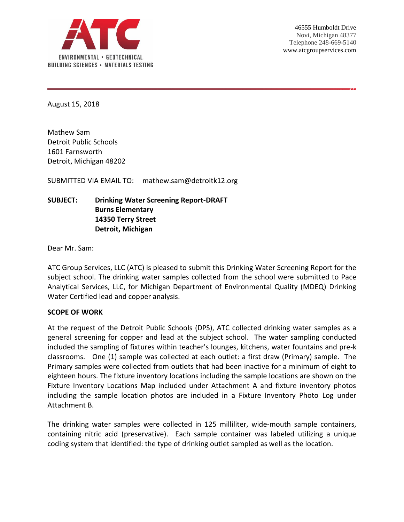

August 15, 2018

Mathew Sam Detroit Public Schools 1601 Farnsworth Detroit, Michigan 48202

SUBMITTED VIA EMAIL TO: mathew.sam@detroitk12.org

# **SUBJECT: Drinking Water Screening Report-DRAFT Burns Elementary 14350 Terry Street Detroit, Michigan**

Dear Mr. Sam:

ATC Group Services, LLC (ATC) is pleased to submit this Drinking Water Screening Report for the subject school. The drinking water samples collected from the school were submitted to Pace Analytical Services, LLC, for Michigan Department of Environmental Quality (MDEQ) Drinking Water Certified lead and copper analysis.

#### **SCOPE OF WORK**

At the request of the Detroit Public Schools (DPS), ATC collected drinking water samples as a general screening for copper and lead at the subject school. The water sampling conducted included the sampling of fixtures within teacher's lounges, kitchens, water fountains and pre-k classrooms. One (1) sample was collected at each outlet: a first draw (Primary) sample. The Primary samples were collected from outlets that had been inactive for a minimum of eight to eighteen hours. The fixture inventory locations including the sample locations are shown on the Fixture Inventory Locations Map included under Attachment A and fixture inventory photos including the sample location photos are included in a Fixture Inventory Photo Log under Attachment B.

The drinking water samples were collected in 125 milliliter, wide-mouth sample containers, containing nitric acid (preservative). Each sample container was labeled utilizing a unique coding system that identified: the type of drinking outlet sampled as well as the location.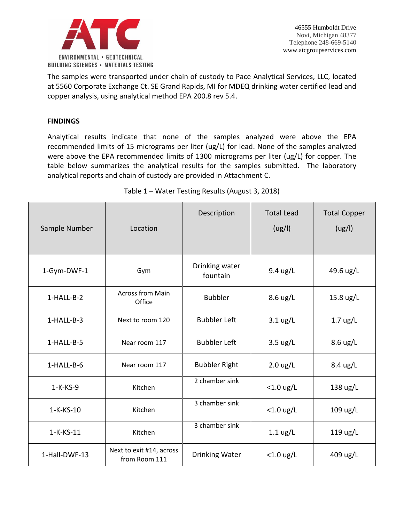

The samples were transported under chain of custody to Pace Analytical Services, LLC, located at 5560 Corporate Exchange Ct. SE Grand Rapids, MI for MDEQ drinking water certified lead and copper analysis, using analytical method EPA 200.8 rev 5.4.

## **FINDINGS**

Analytical results indicate that none of the samples analyzed were above the EPA recommended limits of 15 micrograms per liter (ug/L) for lead. None of the samples analyzed were above the EPA recommended limits of 1300 micrograms per liter (ug/L) for copper. The table below summarizes the analytical results for the samples submitted. The laboratory analytical reports and chain of custody are provided in Attachment C.

| Sample Number | Location                                  | Description                | <b>Total Lead</b><br>(ug/l) | <b>Total Copper</b><br>(ug/l) |
|---------------|-------------------------------------------|----------------------------|-----------------------------|-------------------------------|
| 1-Gym-DWF-1   | Gym                                       | Drinking water<br>fountain | 9.4 ug/L                    | 49.6 ug/L                     |
| 1-HALL-B-2    | <b>Across from Main</b><br>Office         | <b>Bubbler</b>             | $8.6 \text{ ug/L}$          | $15.8 \text{ ug/L}$           |
| $1-HALL-B-3$  | Next to room 120                          | <b>Bubbler Left</b>        | $3.1 \text{ ug/L}$          | $1.7 \text{ ug/L}$            |
| 1-HALL-B-5    | Near room 117                             | <b>Bubbler Left</b>        | $3.5 \text{ ug/L}$          | 8.6 ug/L                      |
| 1-HALL-B-6    | Near room 117                             | <b>Bubbler Right</b>       | $2.0 \text{ ug/L}$          | 8.4 ug/L                      |
| $1-K-KS-9$    | Kitchen                                   | 2 chamber sink             | $<$ 1.0 ug/L                | 138 ug/L                      |
| 1-K-KS-10     | Kitchen                                   | 3 chamber sink             | $<$ 1.0 ug/L                | 109 ug/L                      |
| 1-K-KS-11     | Kitchen                                   | 3 chamber sink             | $1.1 \text{ ug/L}$          | 119 ug/L                      |
| 1-Hall-DWF-13 | Next to exit #14, across<br>from Room 111 | Drinking Water             | $<$ 1.0 ug/L                | 409 ug/L                      |

Table 1 – Water Testing Results (August 3, 2018)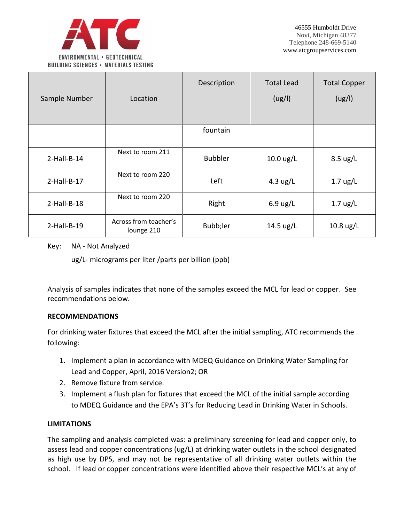

| Sample Number  | Location                            | Description    | <b>Total Lead</b><br>(ug/l) | <b>Total Copper</b><br>(ug/l) |
|----------------|-------------------------------------|----------------|-----------------------------|-------------------------------|
|                |                                     | fountain       |                             |                               |
| $2$ -Hall-B-14 | Next to room 211                    | <b>Bubbler</b> | $10.0 \text{ ug/L}$         | $8.5 \text{ ug/L}$            |
| $2$ -Hall-B-17 | Next to room 220                    | Left           | 4.3 $\mu$ g/L               | $1.7$ ug/L                    |
| $2$ -Hall-B-18 | Next to room 220                    | Right          | $6.9 \text{ ug/L}$          | $1.7 \text{ ug/L}$            |
| $2$ -Hall-B-19 | Across from teacher's<br>lounge 210 | Bubb;ler       | $14.5 \text{ ug/L}$         | $10.8 \text{ ug/L}$           |

## Key: NA - Not Analyzed

ug/L- micrograms per liter /parts per billion (ppb)

Analysis of samples indicates that none of the samples exceed the MCL for lead or copper. See recommendations below.

### **RECOMMENDATIONS**

For drinking water fixtures that exceed the MCL after the initial sampling, ATC recommends the following:

- 1. Implement a plan in accordance with MDEQ Guidance on Drinking Water Sampling for Lead and Copper, April, 2016 Version2; OR
- 2. Remove fixture from service.
- 3. Implement a flush plan for fixtures that exceed the MCL of the initial sample according to MDEQ Guidance and the EPA's 3T's for Reducing Lead in Drinking Water in Schools.

## **LIMITATIONS**

The sampling and analysis completed was: a preliminary screening for lead and copper only, to assess lead and copper concentrations (ug/L) at drinking water outlets in the school designated as high use by DPS, and may not be representative of all drinking water outlets within the school. If lead or copper concentrations were identified above their respective MCL's at any of